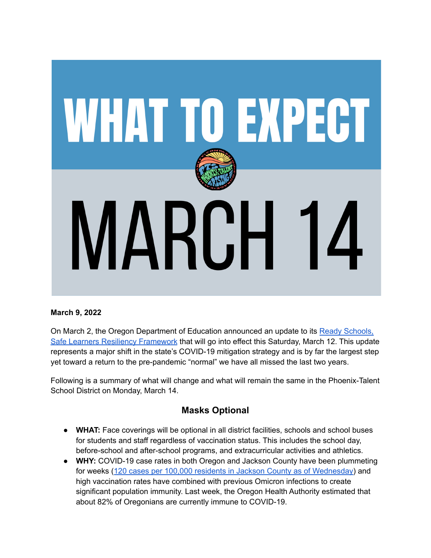

### **March 9, 2022**

On March 2, the Oregon Department of Education announced an update to its Ready [Schools,](https://www.oregon.gov/ode/students-and-family/healthsafety/Documents/Effective%20March%2012th%20Resiliency%20Framework%20for%20the%202021-22%20School%20Year.pdf?utm_medium=email&utm_source=govdelivery) Safe Learners Resiliency [Framework](https://www.oregon.gov/ode/students-and-family/healthsafety/Documents/Effective%20March%2012th%20Resiliency%20Framework%20for%20the%202021-22%20School%20Year.pdf?utm_medium=email&utm_source=govdelivery) that will go into effect this Saturday, March 12. This update represents a major shift in the state's COVID-19 mitigation strategy and is by far the largest step yet toward a return to the pre-pandemic "normal" we have all missed the last two years.

Following is a summary of what will change and what will remain the same in the Phoenix-Talent School District on Monday, March 14.

## **Masks Optional**

- **WHAT:** Face coverings will be optional in all district facilities, schools and school buses for students and staff regardless of vaccination status. This includes the school day, before-school and after-school programs, and extracurricular activities and athletics.
- **WHY:** COVID-19 case rates in both Oregon and Jackson County have been plummeting for weeks (120 cases per 100,000 residents in Jackson County as of [Wednesday\)](https://jcgis.maps.arcgis.com/apps/dashboards/324ac6f9a39e4121a2ee4f04156856ca) and high vaccination rates have combined with previous Omicron infections to create significant population immunity. Last week, the Oregon Health Authority estimated that about 82% of Oregonians are currently immune to COVID-19.